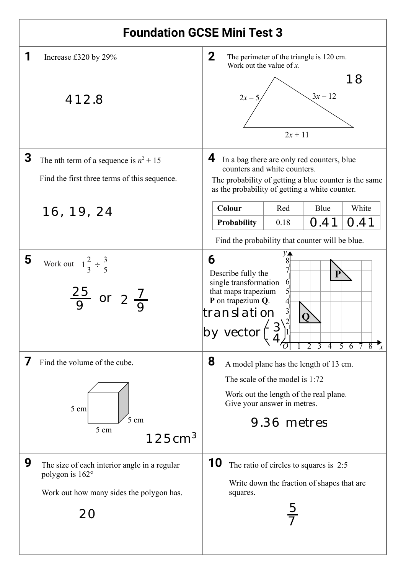| <b>Foundation GCSE Mini Test 3</b> |                                                                                                                   |                                                                                                                                                                                                                                          |  |  |  |  |
|------------------------------------|-------------------------------------------------------------------------------------------------------------------|------------------------------------------------------------------------------------------------------------------------------------------------------------------------------------------------------------------------------------------|--|--|--|--|
| 1                                  | Increase £320 by 29%                                                                                              | $\mathbf{2}$<br>The perimeter of the triangle is 120 cm.<br>Work out the value of $x$ .                                                                                                                                                  |  |  |  |  |
|                                    | 412.8                                                                                                             | 18<br>$3x - 12$<br>$2x - 5$<br>$2x + 11$                                                                                                                                                                                                 |  |  |  |  |
| 3                                  | The nth term of a sequence is $n^2 + 15$<br>Find the first three terms of this sequence.                          | 4<br>In a bag there are only red counters, blue<br>counters and white counters.<br>The probability of getting a blue counter is the same<br>as the probability of getting a white counter.                                               |  |  |  |  |
|                                    | 16, 19, 24                                                                                                        | <b>Colour</b><br>White<br>Red<br>Blue                                                                                                                                                                                                    |  |  |  |  |
|                                    |                                                                                                                   | 0.41<br>0.41<br>Probability<br>0.18                                                                                                                                                                                                      |  |  |  |  |
|                                    |                                                                                                                   | Find the probability that counter will be blue.                                                                                                                                                                                          |  |  |  |  |
| 5                                  | Work out $1\frac{2}{3} \div \frac{3}{5}$<br>$rac{25}{9}$ or $2\frac{7}{9}$                                        | 6<br>Describe fully the<br>single transformation<br>$\mathbf{\Theta}$<br>that maps trapezium<br>P on trapezium Q.<br>translation<br> by vector<br>$\overline{5}$<br>$\overline{2}$<br>$\overline{3}$<br>$\overline{4}$<br>$\overline{6}$ |  |  |  |  |
|                                    | Find the volume of the cube.                                                                                      | 8<br>A model plane has the length of 13 cm.                                                                                                                                                                                              |  |  |  |  |
|                                    | 5 cm<br>5<br>cm<br>5 cm<br>125cm <sup>3</sup>                                                                     | The scale of the model is 1:72<br>Work out the length of the real plane.<br>Give your answer in metres.                                                                                                                                  |  |  |  |  |
|                                    |                                                                                                                   | 9.36 metres                                                                                                                                                                                                                              |  |  |  |  |
| 9                                  | The size of each interior angle in a regular<br>polygon is 162°<br>Work out how many sides the polygon has.<br>20 | 10<br>The ratio of circles to squares is 2:5<br>Write down the fraction of shapes that are<br>squares.                                                                                                                                   |  |  |  |  |